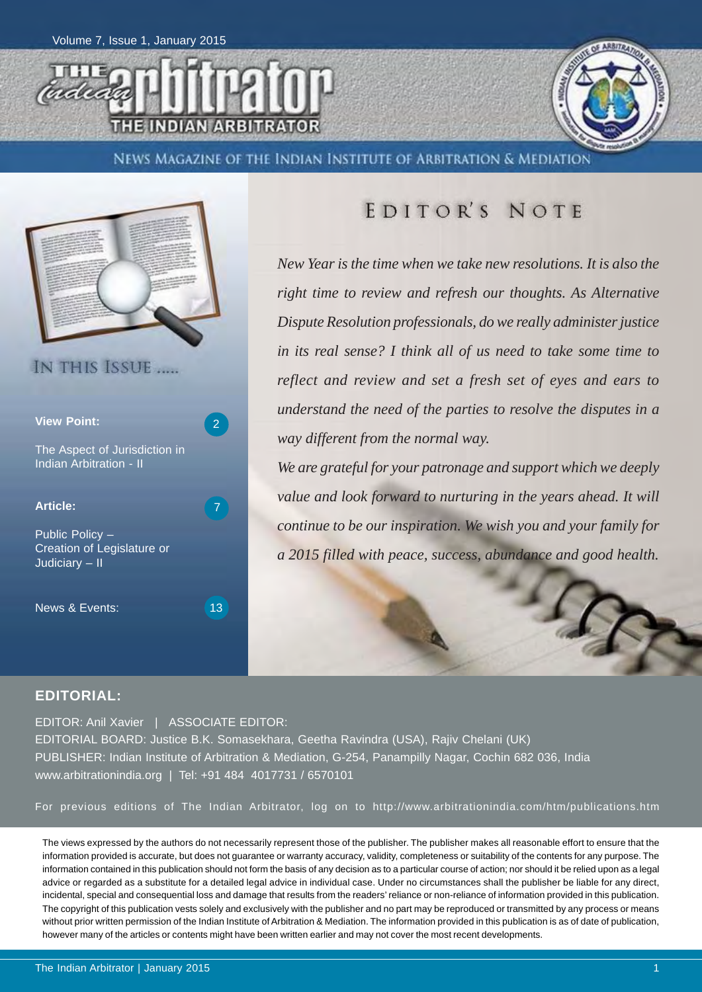



NEWS MAGAZINE OF THE INDIAN INSTITUTE OF ARBITRATION & MEDIATION



### EDITOR'S NOTE

*New Year is the time when we take new resolutions. It is also the right time to review and refresh our thoughts. As Alternative Dispute Resolution professionals, do we really administer justice in its real sense? I think all of us need to take some time to reflect and review and set a fresh set of eyes and ears to understand the need of the parties to resolve the disputes in a way different from the normal way.*

*We are grateful for your patronage and support which we deeply value and look forward to nurturing in the years ahead. It will continue to be our inspiration. We wish you and your family for a 2015 filled with peace, success, abundance and good health.*

#### **EDITORIAL:**

EDITOR: Anil Xavier | ASSOCIATE EDITOR: EDITORIAL BOARD: Justice B.K. Somasekhara, Geetha Ravindra (USA), Rajiv Chelani (UK) PUBLISHER: Indian Institute of Arbitration & Mediation, G-254, Panampilly Nagar, Cochin 682 036, India

www.arbitrationindia.org | Tel: +91 484 4017731 / 6570101

For previous editions of The Indian Arbitrator, log on to http://www.arbitrationindia.com/htm/publications.htm

The views expressed by the authors do not necessarily represent those of the publisher. The publisher makes all reasonable effort to ensure that the information provided is accurate, but does not guarantee or warranty accuracy, validity, completeness or suitability of the contents for any purpose. The information contained in this publication should not form the basis of any decision as to a particular course of action; nor should it be relied upon as a legal advice or regarded as a substitute for a detailed legal advice in individual case. Under no circumstances shall the publisher be liable for any direct, incidental, special and consequential loss and damage that results from the readers' reliance or non-reliance of information provided in this publication. The copyright of this publication vests solely and exclusively with the publisher and no part may be reproduced or transmitted by any process or means without prior written permission of the Indian Institute of Arbitration & Mediation. The information provided in this publication is as of date of publication, however many of the articles or contents might have been written earlier and may not cover the most recent developments.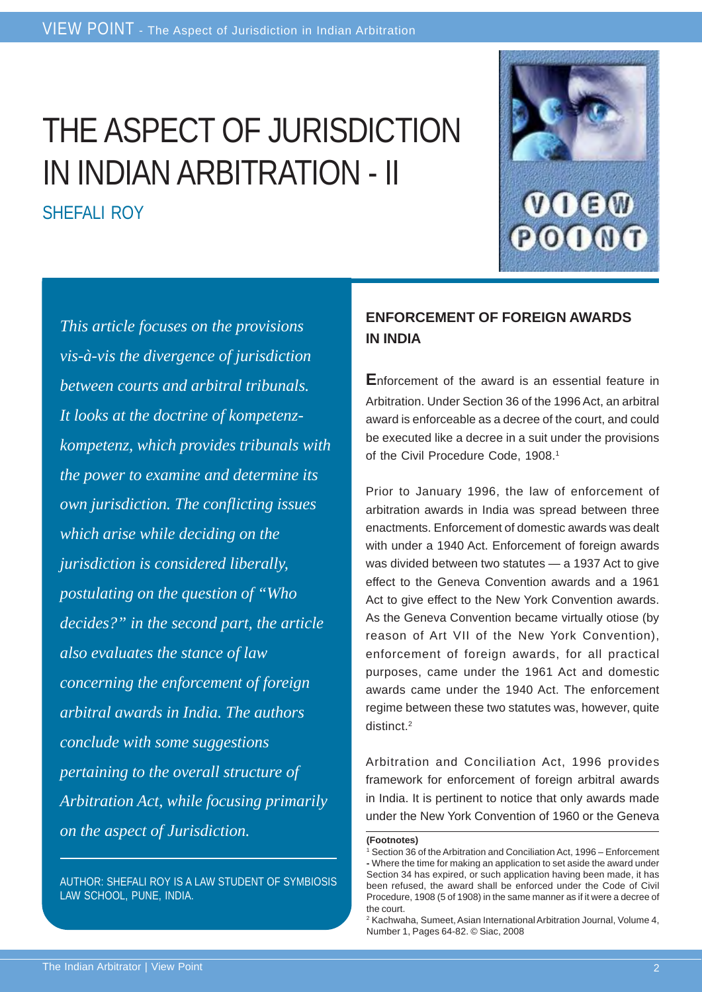# THE ASPECT OF JURISDICTION IN INDIAN ARBITRATION - II SHEFALL ROY



*This article focuses on the provisions vis-à-vis the divergence of jurisdiction between courts and arbitral tribunals. It looks at the doctrine of kompetenzkompetenz, which provides tribunals with the power to examine and determine its own jurisdiction. The conflicting issues which arise while deciding on the jurisdiction is considered liberally, postulating on the question of "Who decides?" in the second part, the article also evaluates the stance of law concerning the enforcement of foreign arbitral awards in India. The authors conclude with some suggestions pertaining to the overall structure of Arbitration Act, while focusing primarily on the aspect of Jurisdiction.*

AUTHOR: SHEFALI ROY IS A LAW STUDENT OF SYMBIOSIS LAW SCHOOL, PUNE, INDIA.

#### **ENFORCEMENT OF FOREIGN AWARDS IN INDIA**

**E**nforcement of the award is an essential feature in Arbitration. Under Section 36 of the 1996 Act, an arbitral award is enforceable as a decree of the court, and could be executed like a decree in a suit under the provisions of the Civil Procedure Code, 1908.<sup>1</sup>

Prior to January 1996, the law of enforcement of arbitration awards in India was spread between three enactments. Enforcement of domestic awards was dealt with under a 1940 Act. Enforcement of foreign awards was divided between two statutes — a 1937 Act to give effect to the Geneva Convention awards and a 1961 Act to give effect to the New York Convention awards. As the Geneva Convention became virtually otiose (by reason of Art VII of the New York Convention), enforcement of foreign awards, for all practical purposes, came under the 1961 Act and domestic awards came under the 1940 Act. The enforcement regime between these two statutes was, however, quite distinct.2

Arbitration and Conciliation Act, 1996 provides framework for enforcement of foreign arbitral awards in India. It is pertinent to notice that only awards made under the New York Convention of 1960 or the Geneva

**<sup>(</sup>Footnotes)**

<sup>1</sup> Section 36 of the Arbitration and Conciliation Act, 1996 – Enforcement **-** Where the time for making an application to set aside the award under Section 34 has expired, or such application having been made, it has been refused, the award shall be enforced under the Code of Civil Procedure, 1908 (5 of 1908) in the same manner as if it were a decree of the court.

<sup>2</sup> Kachwaha, Sumeet, Asian International Arbitration Journal, Volume 4, Number 1, Pages 64-82. © Siac, 2008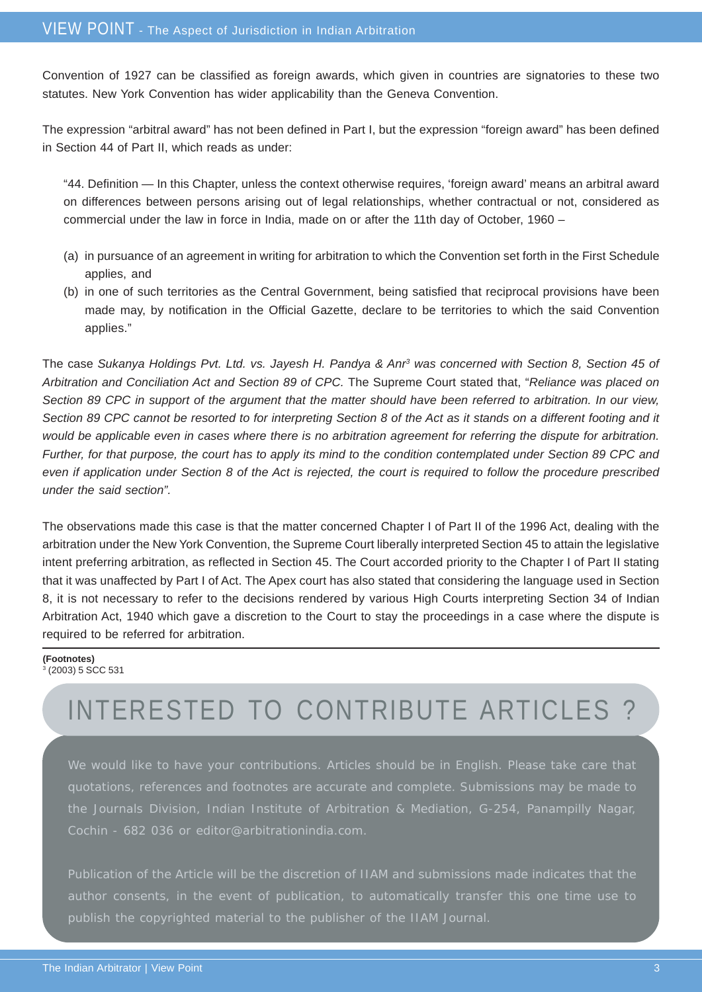Convention of 1927 can be classified as foreign awards, which given in countries are signatories to these two statutes. New York Convention has wider applicability than the Geneva Convention.

The expression "arbitral award" has not been defined in Part I, but the expression "foreign award" has been defined in Section 44 of Part II, which reads as under:

"44. Definition — In this Chapter, unless the context otherwise requires, 'foreign award' means an arbitral award on differences between persons arising out of legal relationships, whether contractual or not, considered as commercial under the law in force in India, made on or after the 11th day of October, 1960 –

- (a) in pursuance of an agreement in writing for arbitration to which the Convention set forth in the First Schedule applies, and
- (b) in one of such territories as the Central Government, being satisfied that reciprocal provisions have been made may, by notification in the Official Gazette, declare to be territories to which the said Convention applies."

The case *Sukanya Holdings Pvt. Ltd. vs. Jayesh H. Pandya & Anr3 was concerned with Section 8, Section 45 of Arbitration and Conciliation Act and Section 89 of CPC.* The Supreme Court stated that, "*Reliance was placed on Section 89 CPC in support of the argument that the matter should have been referred to arbitration. In our view, Section 89 CPC cannot be resorted to for interpreting Section 8 of the Act as it stands on a different footing and it would be applicable even in cases where there is no arbitration agreement for referring the dispute for arbitration. Further, for that purpose, the court has to apply its mind to the condition contemplated under Section 89 CPC and even if application under Section 8 of the Act is rejected, the court is required to follow the procedure prescribed under the said section".*

The observations made this case is that the matter concerned Chapter I of Part II of the 1996 Act, dealing with the arbitration under the New York Convention, the Supreme Court liberally interpreted Section 45 to attain the legislative intent preferring arbitration, as reflected in Section 45. The Court accorded priority to the Chapter I of Part II stating that it was unaffected by Part I of Act. The Apex court has also stated that considering the language used in Section 8, it is not necessary to refer to the decisions rendered by various High Courts interpreting Section 34 of Indian Arbitration Act, 1940 which gave a discretion to the Court to stay the proceedings in a case where the dispute is required to be referred for arbitration.

#### **(Footnotes)** 3 (2003) 5 SCC 531

### INTERESTED TO CONTRIBUTE ARTICLES ?

We would like to have your contributions. Articles should be in English. Please take care that quotations, references and footnotes are accurate and complete. Submissions may be made to the Journals Division, Indian Institute of Arbitration & Mediation, G-254, Panampilly Nagar, Cochin - 682 036 or editor@arbitrationindia.com.

Publication of the Article will be the discretion of IIAM and submissions made indicates that the publish the copyrighted material to the publisher of the IIAM Journal.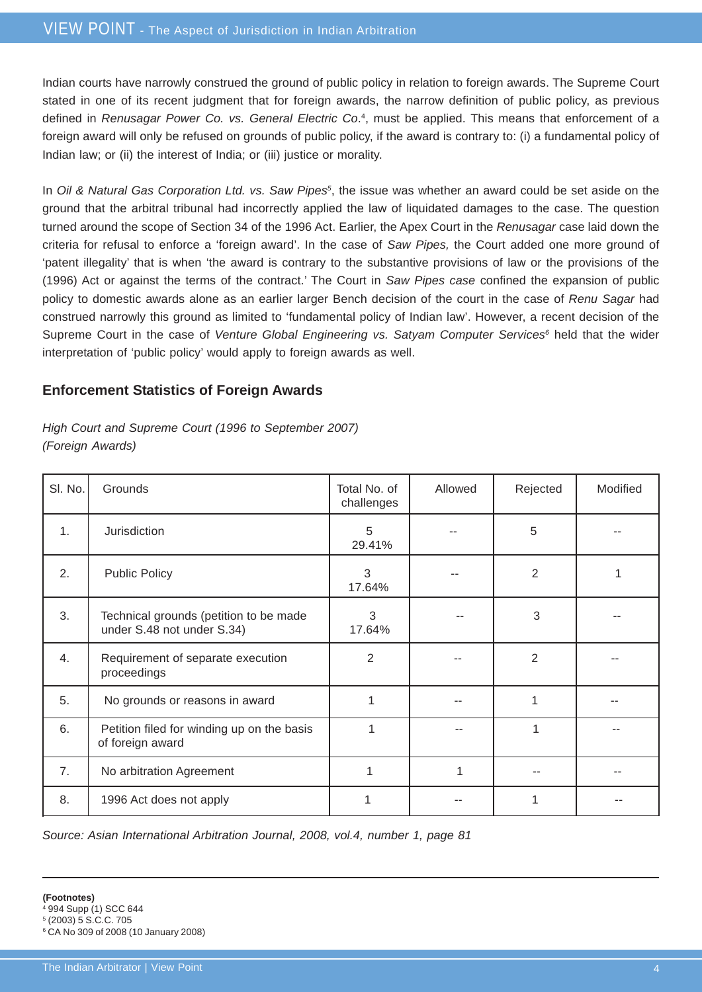Indian courts have narrowly construed the ground of public policy in relation to foreign awards. The Supreme Court stated in one of its recent judgment that for foreign awards, the narrow definition of public policy, as previous defined in *Renusagar Power Co. vs. General Electric Co*.<sup>4</sup>, must be applied. This means that enforcement of a foreign award will only be refused on grounds of public policy, if the award is contrary to: (i) a fundamental policy of Indian law; or (ii) the interest of India; or (iii) justice or morality.

In *Oil & Natural Gas Corporation Ltd. vs. Saw Pipes<sup>5</sup>*, the issue was whether an award could be set aside on the ground that the arbitral tribunal had incorrectly applied the law of liquidated damages to the case. The question turned around the scope of Section 34 of the 1996 Act. Earlier, the Apex Court in the *Renusagar* case laid down the criteria for refusal to enforce a 'foreign award'. In the case of *Saw Pipes,* the Court added one more ground of 'patent illegality' that is when 'the award is contrary to the substantive provisions of law or the provisions of the (1996) Act or against the terms of the contract.' The Court in *Saw Pipes case* confined the expansion of public policy to domestic awards alone as an earlier larger Bench decision of the court in the case of *Renu Sagar* had construed narrowly this ground as limited to 'fundamental policy of Indian law'. However, a recent decision of the Supreme Court in the case of *Venture Global Engineering vs. Satyam Computer Services*<sup>6</sup> held that the wider interpretation of 'public policy' would apply to foreign awards as well.

#### **Enforcement Statistics of Foreign Awards**

#### *High Court and Supreme Court (1996 to September 2007) (Foreign Awards)*

| SI. No.        | Grounds                                                              | Total No. of<br>challenges | Allowed | Rejected       | Modified |
|----------------|----------------------------------------------------------------------|----------------------------|---------|----------------|----------|
| $\mathbf{1}$ . | Jurisdiction                                                         | 5<br>29.41%                |         | 5              |          |
| 2.             | <b>Public Policy</b>                                                 | 3<br>17.64%                |         | $\overline{2}$ |          |
| 3.             | Technical grounds (petition to be made<br>under S.48 not under S.34) | 3<br>17.64%                |         | 3              |          |
| 4.             | Requirement of separate execution<br>proceedings                     | 2                          |         | $\overline{2}$ |          |
| 5.             | No grounds or reasons in award                                       | 1                          |         |                |          |
| 6.             | Petition filed for winding up on the basis<br>of foreign award       | 1                          |         | 1              |          |
| 7.             | No arbitration Agreement                                             | 1                          | 1       |                |          |
| 8.             | 1996 Act does not apply                                              |                            |         |                |          |

*Source: Asian International Arbitration Journal, 2008, vol.4, number 1, page 81*

- 4 994 Supp (1) SCC 644
- 5 (2003) 5 S.C.C. 705

<sup>6</sup> CA No 309 of 2008 (10 January 2008)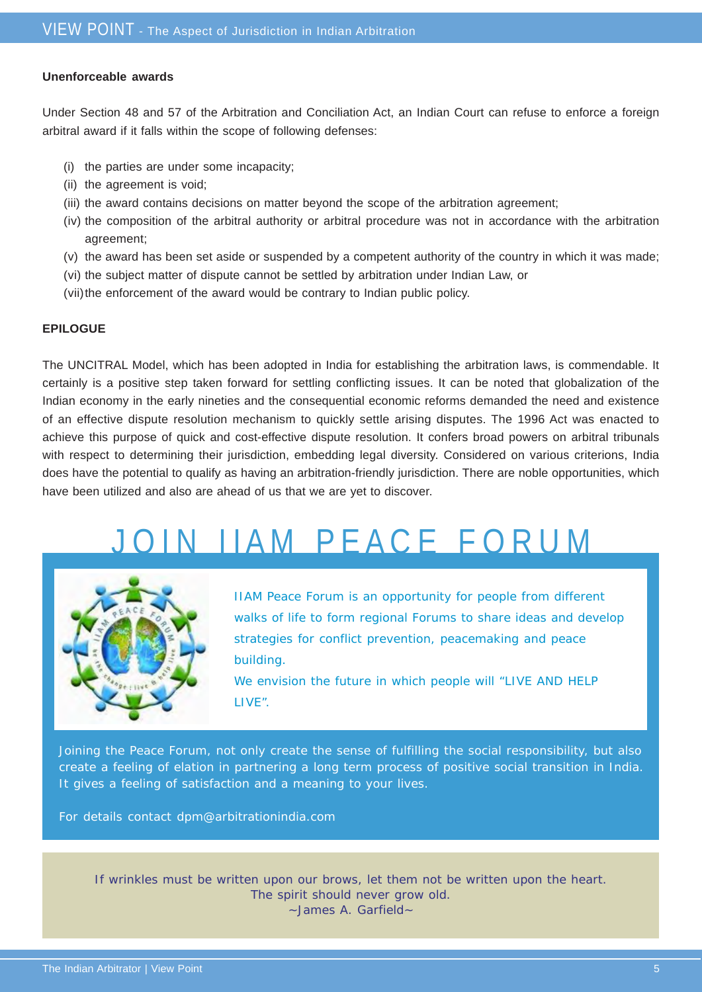#### **Unenforceable awards**

Under Section 48 and 57 of the Arbitration and Conciliation Act, an Indian Court can refuse to enforce a foreign arbitral award if it falls within the scope of following defenses:

- (i) the parties are under some incapacity;
- (ii) the agreement is void;
- (iii) the award contains decisions on matter beyond the scope of the arbitration agreement;
- (iv) the composition of the arbitral authority or arbitral procedure was not in accordance with the arbitration agreement;
- (v) the award has been set aside or suspended by a competent authority of the country in which it was made;
- (vi) the subject matter of dispute cannot be settled by arbitration under Indian Law, or
- (vii)the enforcement of the award would be contrary to Indian public policy.

#### **EPILOGUE**

The UNCITRAL Model, which has been adopted in India for establishing the arbitration laws, is commendable. It certainly is a positive step taken forward for settling conflicting issues. It can be noted that globalization of the Indian economy in the early nineties and the consequential economic reforms demanded the need and existence of an effective dispute resolution mechanism to quickly settle arising disputes. The 1996 Act was enacted to achieve this purpose of quick and cost-effective dispute resolution. It confers broad powers on arbitral tribunals with respect to determining their jurisdiction, embedding legal diversity. Considered on various criterions, India does have the potential to qualify as having an arbitration-friendly jurisdiction. There are noble opportunities, which have been utilized and also are ahead of us that we are yet to discover.

## J IN I LAM PEACE FORUM



IIAM Peace Forum is an opportunity for people from different walks of life to form regional Forums to share ideas and develop strategies for conflict prevention, peacemaking and peace building.

We envision the future in which people will "LIVE AND HELP LIVE".

Joining the Peace Forum, not only create the sense of fulfilling the social responsibility, but also create a feeling of elation in partnering a long term process of positive social transition in India. It gives a feeling of satisfaction and a meaning to your lives.

For details contact dpm@arbitrationindia.com

If wrinkles must be written upon our brows, let them not be written upon the heart. The spirit should never grow old. ~James A. Garfield~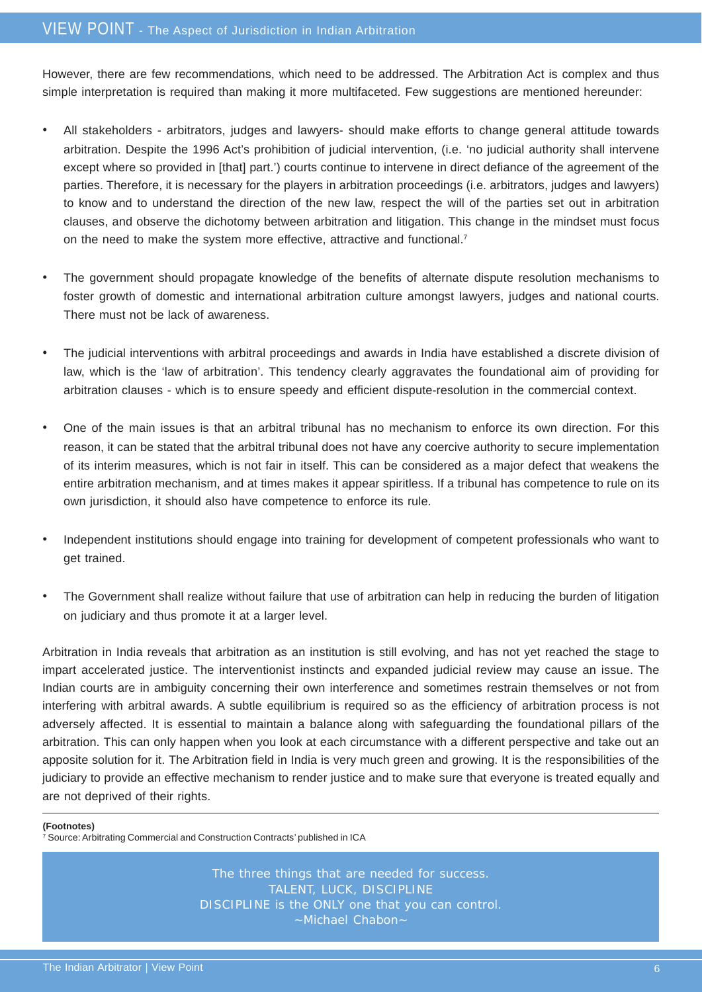However, there are few recommendations, which need to be addressed. The Arbitration Act is complex and thus simple interpretation is required than making it more multifaceted. Few suggestions are mentioned hereunder:

- All stakeholders arbitrators, judges and lawyers- should make efforts to change general attitude towards arbitration. Despite the 1996 Act's prohibition of judicial intervention, (i.e. 'no judicial authority shall intervene except where so provided in [that] part.') courts continue to intervene in direct defiance of the agreement of the parties. Therefore, it is necessary for the players in arbitration proceedings (i.e. arbitrators, judges and lawyers) to know and to understand the direction of the new law, respect the will of the parties set out in arbitration clauses, and observe the dichotomy between arbitration and litigation. This change in the mindset must focus on the need to make the system more effective, attractive and functional.<sup>7</sup>
- The government should propagate knowledge of the benefits of alternate dispute resolution mechanisms to foster growth of domestic and international arbitration culture amongst lawyers, judges and national courts. There must not be lack of awareness.
- The judicial interventions with arbitral proceedings and awards in India have established a discrete division of law, which is the 'law of arbitration'. This tendency clearly aggravates the foundational aim of providing for arbitration clauses - which is to ensure speedy and efficient dispute-resolution in the commercial context.
- One of the main issues is that an arbitral tribunal has no mechanism to enforce its own direction. For this reason, it can be stated that the arbitral tribunal does not have any coercive authority to secure implementation of its interim measures, which is not fair in itself. This can be considered as a major defect that weakens the entire arbitration mechanism, and at times makes it appear spiritless. If a tribunal has competence to rule on its own jurisdiction, it should also have competence to enforce its rule.
- Independent institutions should engage into training for development of competent professionals who want to get trained.
- The Government shall realize without failure that use of arbitration can help in reducing the burden of litigation on judiciary and thus promote it at a larger level.

Arbitration in India reveals that arbitration as an institution is still evolving, and has not yet reached the stage to impart accelerated justice. The interventionist instincts and expanded judicial review may cause an issue. The Indian courts are in ambiguity concerning their own interference and sometimes restrain themselves or not from interfering with arbitral awards. A subtle equilibrium is required so as the efficiency of arbitration process is not adversely affected. It is essential to maintain a balance along with safeguarding the foundational pillars of the arbitration. This can only happen when you look at each circumstance with a different perspective and take out an apposite solution for it. The Arbitration field in India is very much green and growing. It is the responsibilities of the judiciary to provide an effective mechanism to render justice and to make sure that everyone is treated equally and are not deprived of their rights.

#### **(Footnotes)**

 $\frac{1}{7}$  Source: Arbitrating Commercial and Construction Contracts' published in ICA

The three things that are needed for success. TALENT, LUCK, DISCIPLINE DISCIPLINE is the ONLY one that you can control. ~Michael Chabon~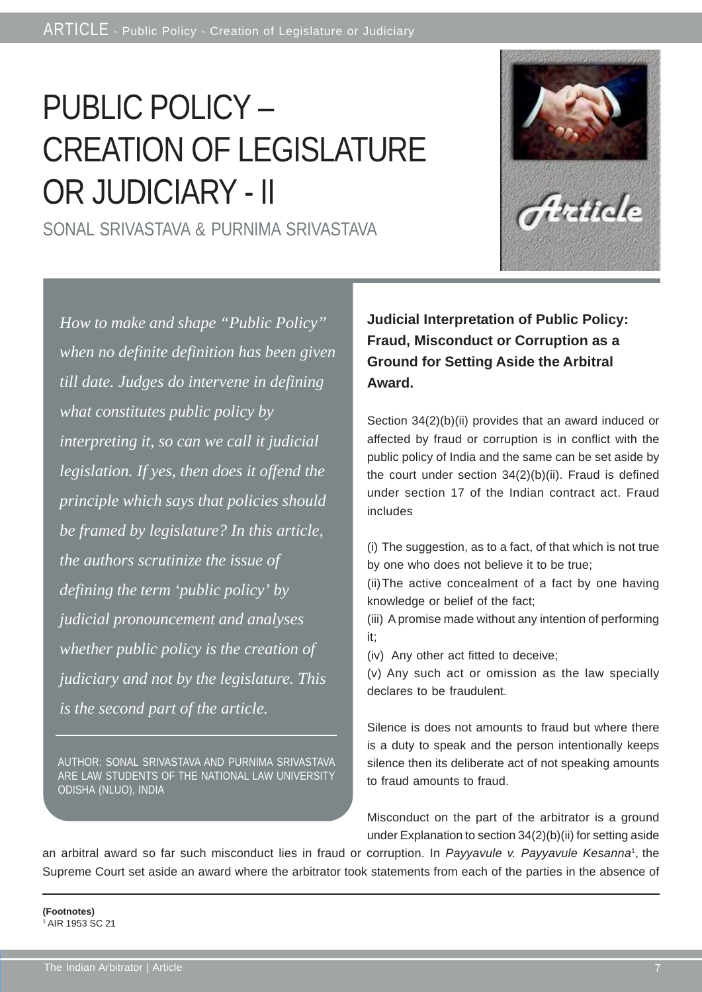# PUBLIC POLICY – CREATION OF LEGISLATURE OR JUDICIARY - II

SONAL SRIVASTAVA & PURNIMA SRIVASTAVA



AUTHOR: SONAL SRIVASTAVA AND PURNIMA SRIVASTAVA ARE LAW STUDENTS OF THE NATIONAL LAW UNIVERSITY ODISHA (NLUO), INDIA

**Judicial Interpretation of Public Policy: Fraud, Misconduct or Corruption as a Ground for Setting Aside the Arbitral Award.**

Section 34(2)(b)(ii) provides that an award induced or affected by fraud or corruption is in conflict with the public policy of India and the same can be set aside by the court under section 34(2)(b)(ii). Fraud is defined under section 17 of the Indian contract act. Fraud includes

(i) The suggestion, as to a fact, of that which is not true by one who does not believe it to be true;

(ii)The active concealment of a fact by one having knowledge or belief of the fact;

(iii) A promise made without any intention of performing it;

(iv) Any other act fitted to deceive;

(v) Any such act or omission as the law specially declares to be fraudulent.

Silence is does not amounts to fraud but where there is a duty to speak and the person intentionally keeps silence then its deliberate act of not speaking amounts to fraud amounts to fraud.

Misconduct on the part of the arbitrator is a ground under Explanation to section 34(2)(b)(ii) for setting aside

an arbitral award so far such misconduct lies in fraud or corruption. In *Payyavule v. Payyavule Kesanna*1, the Supreme Court set aside an award where the arbitrator took statements from each of the parties in the absence of

#### **(Footnotes)** AIR 1953 SC 21

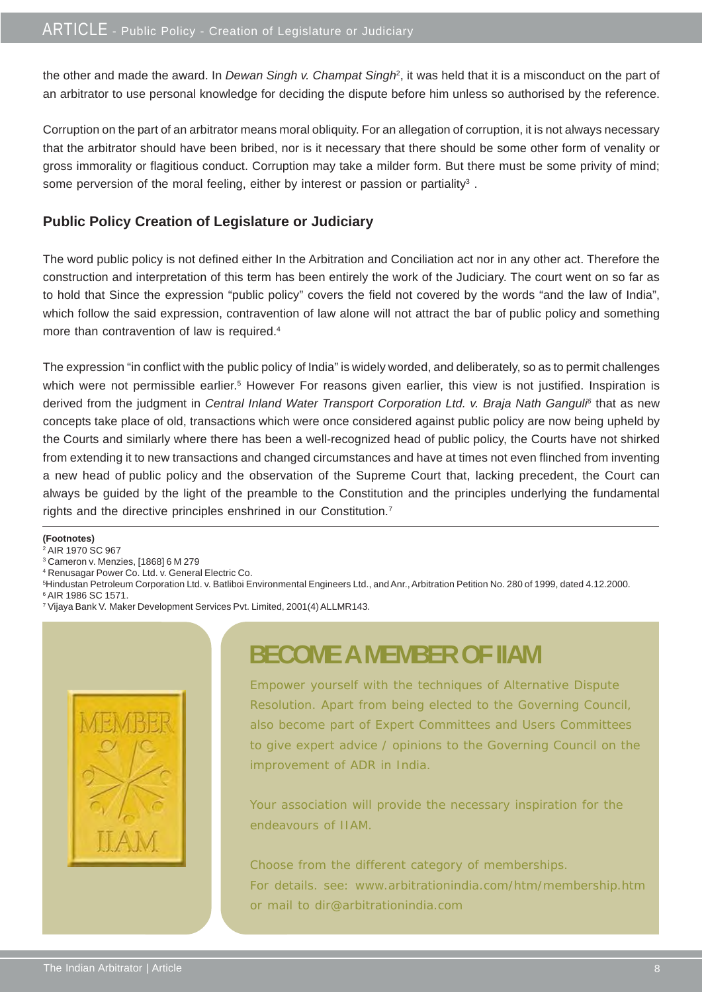the other and made the award. In *Dewan Singh v. Champat Singh*<sup>2</sup>, it was held that it is a misconduct on the part of an arbitrator to use personal knowledge for deciding the dispute before him unless so authorised by the reference.

Corruption on the part of an arbitrator means moral obliquity. For an allegation of corruption, it is not always necessary that the arbitrator should have been bribed, nor is it necessary that there should be some other form of venality or gross immorality or flagitious conduct. Corruption may take a milder form. But there must be some privity of mind; some perversion of the moral feeling, either by interest or passion or partiality<sup>3</sup>.

#### **Public Policy Creation of Legislature or Judiciary**

The word public policy is not defined either In the Arbitration and Conciliation act nor in any other act. Therefore the construction and interpretation of this term has been entirely the work of the Judiciary. The court went on so far as to hold that Since the expression "public policy" covers the field not covered by the words "and the law of India", which follow the said expression, contravention of law alone will not attract the bar of public policy and something more than contravention of law is required.4

The expression "in conflict with the public policy of India" is widely worded, and deliberately, so as to permit challenges which were not permissible earlier.<sup>5</sup> However For reasons given earlier, this view is not justified. Inspiration is derived from the judgment in *Central Inland Water Transport Corporation Ltd. v. Braja Nath Ganguli*<sup>6</sup> that as new concepts take place of old, transactions which were once considered against public policy are now being upheld by the Courts and similarly where there has been a well-recognized head of public policy, the Courts have not shirked from extending it to new transactions and changed circumstances and have at times not even flinched from inventing a new head of public policy and the observation of the Supreme Court that, lacking precedent, the Court can always be guided by the light of the preamble to the Constitution and the principles underlying the fundamental rights and the directive principles enshrined in our Constitution.7

**(Footnotes)**

- <sup>2</sup> AIR 1970 SC 967
- 3 Cameron v. Menzies, [1868] 6 M 279
- 4 Renusagar Power Co. Ltd. v. General Electric Co.

<sup>5</sup> Hindustan Petroleum Corporation Ltd. v. Batliboi Environmental Engineers Ltd., and Anr., Arbitration Petition No. 280 of 1999, dated 4.12.2000.<br><sup>6</sup> AIR 1986 SC 1571.

7 Vijaya Bank V. Maker Development Services Pvt. Limited, 2001(4) ALLMR143.



### **BECOME A MEMBER OF IIAM**

Empower yourself with the techniques of Alternative Dispute Resolution. Apart from being elected to the Governing Council, also become part of Expert Committees and Users Committees to give expert advice / opinions to the Governing Council on the improvement of ADR in India.

Your association will provide the necessary inspiration for the endeavours of IIAM.

Choose from the different category of memberships. For details. see: www.arbitrationindia.com/htm/membership.htm or mail to dir@arbitrationindia.com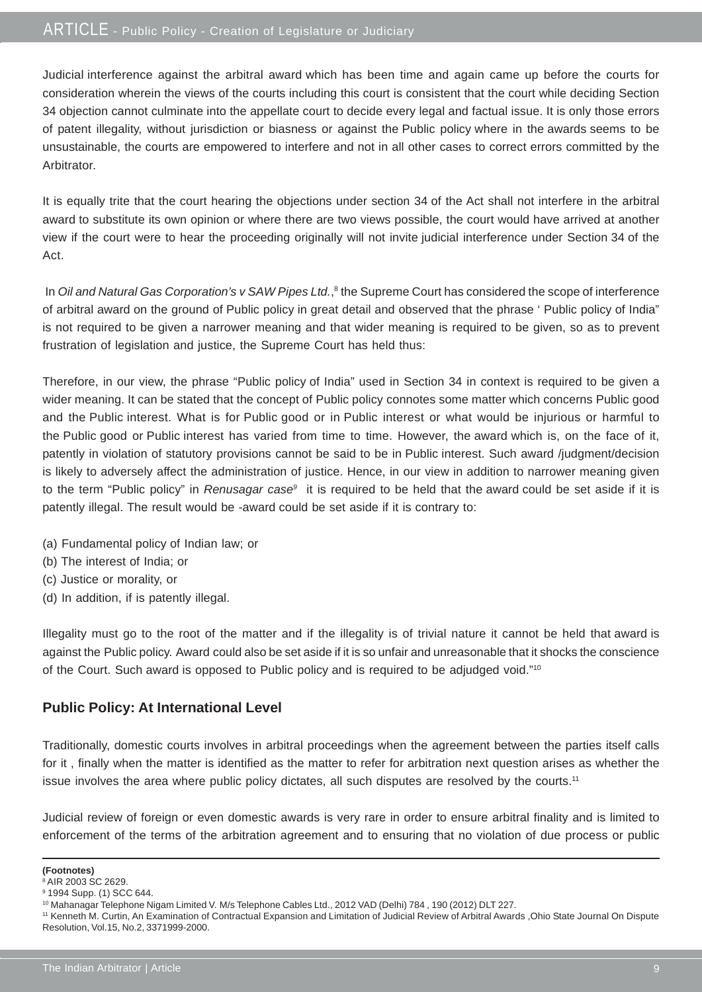Judicial interference against the arbitral award which has been time and again came up before the courts for consideration wherein the views of the courts including this court is consistent that the court while deciding Section 34 objection cannot culminate into the appellate court to decide every legal and factual issue. It is only those errors of patent illegality, without jurisdiction or biasness or against the Public policy where in the awards seems to be unsustainable, the courts are empowered to interfere and not in all other cases to correct errors committed by the Arbitrator.

It is equally trite that the court hearing the objections under section 34 of the Act shall not interfere in the arbitral award to substitute its own opinion or where there are two views possible, the court would have arrived at another view if the court were to hear the proceeding originally will not invite judicial interference under Section 34 of the Act.

In *Oil and Natural Gas Corporation's v SAW Pipes Ltd.*,<sup>8</sup> the Supreme Court has considered the scope of interference of arbitral award on the ground of Public policy in great detail and observed that the phrase ' Public policy of India" is not required to be given a narrower meaning and that wider meaning is required to be given, so as to prevent frustration of legislation and justice, the Supreme Court has held thus:

Therefore, in our view, the phrase "Public policy of India" used in Section 34 in context is required to be given a wider meaning. It can be stated that the concept of Public policy connotes some matter which concerns Public good and the Public interest. What is for Public good or in Public interest or what would be injurious or harmful to the Public good or Public interest has varied from time to time. However, the award which is, on the face of it, patently in violation of statutory provisions cannot be said to be in Public interest. Such award /judgment/decision is likely to adversely affect the administration of justice. Hence, in our view in addition to narrower meaning given to the term "Public policy" in *Renusagar case*9 it is required to be held that the award could be set aside if it is patently illegal. The result would be -award could be set aside if it is contrary to:

- (a) Fundamental policy of Indian law; or
- (b) The interest of India; or
- (c) Justice or morality, or
- (d) In addition, if is patently illegal.

Illegality must go to the root of the matter and if the illegality is of trivial nature it cannot be held that award is against the Public policy. Award could also be set aside if it is so unfair and unreasonable that it shocks the conscience of the Court. Such award is opposed to Public policy and is required to be adjudged void."10

#### **Public Policy: At International Level**

Traditionally, domestic courts involves in arbitral proceedings when the agreement between the parties itself calls for it , finally when the matter is identified as the matter to refer for arbitration next question arises as whether the issue involves the area where public policy dictates, all such disputes are resolved by the courts.<sup>11</sup>

Judicial review of foreign or even domestic awards is very rare in order to ensure arbitral finality and is limited to enforcement of the terms of the arbitration agreement and to ensuring that no violation of due process or public

**<sup>(</sup>Footnotes)**

<sup>8</sup> AIR 2003 SC 2629. 9 1994 Supp. (1) SCC 644.

<sup>10</sup> Mahanagar Telephone Nigam Limited V. M/s Telephone Cables Ltd., 2012 VAD (Delhi) 784 , 190 (2012) DLT 227.

<sup>11</sup> Kenneth M. Curtin, An Examination of Contractual Expansion and Limitation of Judicial Review of Arbitral Awards ,Ohio State Journal On Dispute Resolution, Vol.15, No.2, 3371999-2000.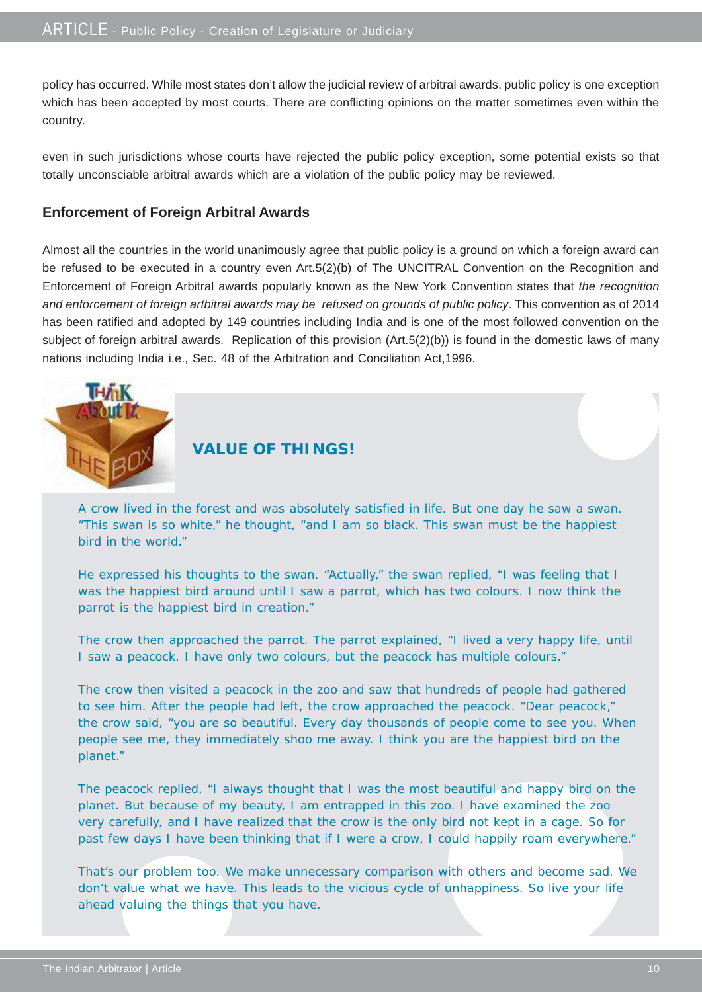policy has occurred. While most states don't allow the judicial review of arbitral awards, public policy is one exception which has been accepted by most courts. There are conflicting opinions on the matter sometimes even within the country.

even in such jurisdictions whose courts have rejected the public policy exception, some potential exists so that totally unconsciable arbitral awards which are a violation of the public policy may be reviewed.

#### **Enforcement of Foreign Arbitral Awards**

Almost all the countries in the world unanimously agree that public policy is a ground on which a foreign award can be refused to be executed in a country even Art.5(2)(b) of The UNCITRAL Convention on the Recognition and Enforcement of Foreign Arbitral awards popularly known as the New York Convention states that *the recognition and enforcement of foreign artbitral awards may be refused on grounds of public policy*. This convention as of 2014 has been ratified and adopted by 149 countries including India and is one of the most followed convention on the subject of foreign arbitral awards. Replication of this provision (Art.5(2)(b)) is found in the domestic laws of many nations including India i.e., Sec. 48 of the Arbitration and Conciliation Act,1996.



#### **VALUE OF THINGS!**

A crow lived in the forest and was absolutely satisfied in life. But one day he saw a swan. "This swan is so white," he thought, "and I am so black. This swan must be the happiest bird in the world."

He expressed his thoughts to the swan. "Actually," the swan replied, "I was feeling that I was the happiest bird around until I saw a parrot, which has two colours. I now think the parrot is the happiest bird in creation."

The crow then approached the parrot. The parrot explained, "I lived a very happy life, until I saw a peacock. I have only two colours, but the peacock has multiple colours."

The crow then visited a peacock in the zoo and saw that hundreds of people had gathered to see him. After the people had left, the crow approached the peacock. "Dear peacock," the crow said, "you are so beautiful. Every day thousands of people come to see you. When people see me, they immediately shoo me away. I think you are the happiest bird on the planet."

The peacock replied, "I always thought that I was the most beautiful and happy bird on the planet. But because of my beauty, I am entrapped in this zoo. I have examined the zoo very carefully, and I have realized that the crow is the only bird not kept in a cage. So for past few days I have been thinking that if I were a crow, I could happily roam everywhere."

That's our problem too. We make unnecessary comparison with others and become sad. We don't value what we have. This leads to the vicious cycle of unhappiness. So live your life ahead valuing the things that you have.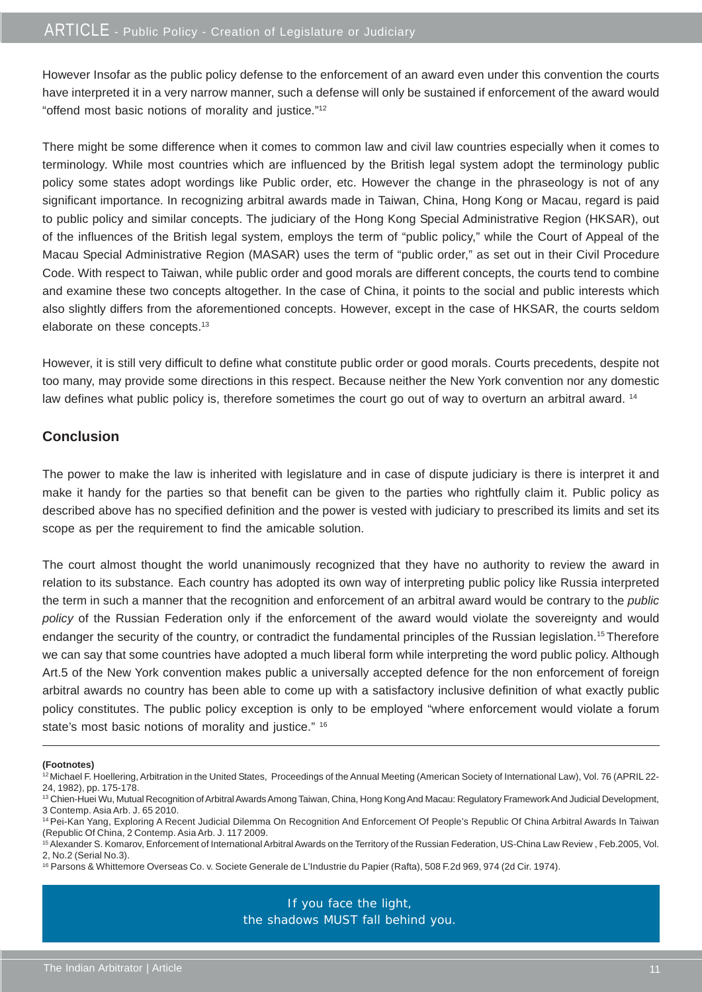However Insofar as the public policy defense to the enforcement of an award even under this convention the courts have interpreted it in a very narrow manner, such a defense will only be sustained if enforcement of the award would "offend most basic notions of morality and justice."12

There might be some difference when it comes to common law and civil law countries especially when it comes to terminology. While most countries which are influenced by the British legal system adopt the terminology public policy some states adopt wordings like Public order, etc. However the change in the phraseology is not of any significant importance. In recognizing arbitral awards made in Taiwan, China, Hong Kong or Macau, regard is paid to public policy and similar concepts. The judiciary of the Hong Kong Special Administrative Region (HKSAR), out of the influences of the British legal system, employs the term of "public policy," while the Court of Appeal of the Macau Special Administrative Region (MASAR) uses the term of "public order," as set out in their Civil Procedure Code. With respect to Taiwan, while public order and good morals are different concepts, the courts tend to combine and examine these two concepts altogether. In the case of China, it points to the social and public interests which also slightly differs from the aforementioned concepts. However, except in the case of HKSAR, the courts seldom elaborate on these concepts.<sup>13</sup>

However, it is still very difficult to define what constitute public order or good morals. Courts precedents, despite not too many, may provide some directions in this respect. Because neither the New York convention nor any domestic law defines what public policy is, therefore sometimes the court go out of way to overturn an arbitral award. <sup>14</sup>

#### **Conclusion**

The power to make the law is inherited with legislature and in case of dispute judiciary is there is interpret it and make it handy for the parties so that benefit can be given to the parties who rightfully claim it. Public policy as described above has no specified definition and the power is vested with judiciary to prescribed its limits and set its scope as per the requirement to find the amicable solution.

The court almost thought the world unanimously recognized that they have no authority to review the award in relation to its substance. Each country has adopted its own way of interpreting public policy like Russia interpreted the term in such a manner that the recognition and enforcement of an arbitral award would be contrary to the *public policy* of the Russian Federation only if the enforcement of the award would violate the sovereignty and would endanger the security of the country, or contradict the fundamental principles of the Russian legislation.<sup>15</sup> Therefore we can say that some countries have adopted a much liberal form while interpreting the word public policy. Although Art.5 of the New York convention makes public a universally accepted defence for the non enforcement of foreign arbitral awards no country has been able to come up with a satisfactory inclusive definition of what exactly public policy constitutes. The public policy exception is only to be employed "where enforcement would violate a forum state's most basic notions of morality and justice." 16

#### **(Footnotes)**

If you face the light, the shadows MUST fall behind you.

<sup>&</sup>lt;sup>12</sup> Michael F. Hoellering, Arbitration in the United States, Proceedings of the Annual Meeting (American Society of International Law), Vol. 76 (APRIL 22-24, 1982), pp. 175-178.

<sup>&</sup>lt;sup>13</sup> Chien-Huei Wu, Mutual Recognition of Arbitral Awards Among Taiwan, China, Hong Kong And Macau: Regulatory Framework And Judicial Development, 3 Contemp. Asia Arb. J. 65 2010.

<sup>&</sup>lt;sup>14</sup> Pei-Kan Yang, Exploring A Recent Judicial Dilemma On Recognition And Enforcement Of People's Republic Of China Arbitral Awards In Taiwan (Republic Of China, 2 Contemp. Asia Arb. J. 117 2009.

<sup>&</sup>lt;sup>15</sup> Alexander S. Komarov, Enforcement of International Arbitral Awards on the Territory of the Russian Federation, US-China Law Review, Feb.2005, Vol. 2, No.2 (Serial No.3).

<sup>16</sup> Parsons & Whittemore Overseas Co. v. Societe Generale de L'Industrie du Papier (Rafta), 508 F.2d 969, 974 (2d Cir. 1974).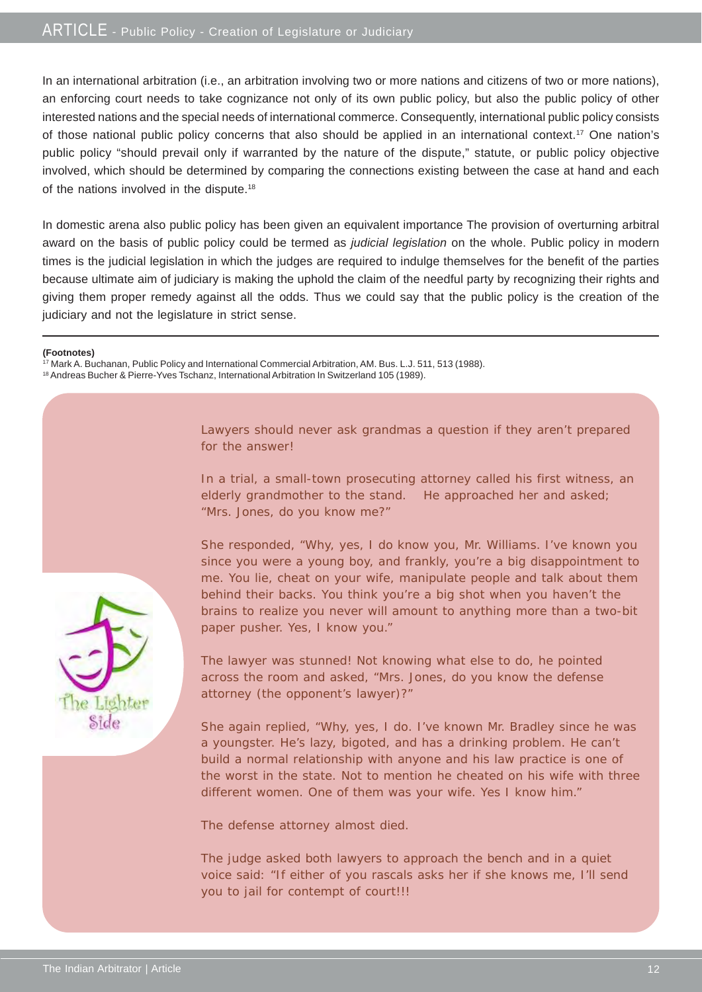In an international arbitration (i.e., an arbitration involving two or more nations and citizens of two or more nations), an enforcing court needs to take cognizance not only of its own public policy, but also the public policy of other interested nations and the special needs of international commerce. Consequently, international public policy consists of those national public policy concerns that also should be applied in an international context.17 One nation's public policy "should prevail only if warranted by the nature of the dispute," statute, or public policy objective involved, which should be determined by comparing the connections existing between the case at hand and each of the nations involved in the dispute.<sup>18</sup>

In domestic arena also public policy has been given an equivalent importance The provision of overturning arbitral award on the basis of public policy could be termed as *judicial legislation* on the whole. Public policy in modern times is the judicial legislation in which the judges are required to indulge themselves for the benefit of the parties because ultimate aim of judiciary is making the uphold the claim of the needful party by recognizing their rights and giving them proper remedy against all the odds. Thus we could say that the public policy is the creation of the judiciary and not the legislature in strict sense.

#### **(Footnotes)**

<sup>17</sup> Mark A. Buchanan, Public Policy and International Commercial Arbitration, AM. Bus. L.J. 511, 513 (1988).

18 Andreas Bucher & Pierre-Yves Tschanz, International Arbitration In Switzerland 105 (1989).

Lawyers should never ask grandmas a question if they aren't prepared for the answer!

In a trial, a small-town prosecuting attorney called his first witness, an elderly grandmother to the stand. He approached her and asked; "Mrs. Jones, do you know me?"

She responded, "Why, yes, I do know you, Mr. Williams. I've known you since you were a young boy, and frankly, you're a big disappointment to me. You lie, cheat on your wife, manipulate people and talk about them behind their backs. You think you're a big shot when you haven't the brains to realize you never will amount to anything more than a two-bit paper pusher. Yes, I know you."

The lawyer was stunned! Not knowing what else to do, he pointed across the room and asked, "Mrs. Jones, do you know the defense attorney (the opponent's lawyer)?"

She again replied, "Why, yes, I do. I've known Mr. Bradley since he was a youngster. He's lazy, bigoted, and has a drinking problem. He can't build a normal relationship with anyone and his law practice is one of the worst in the state. Not to mention he cheated on his wife with three different women. One of them was your wife. Yes I know him."

The defense attorney almost died.

The judge asked both lawyers to approach the bench and in a quiet voice said: "If either of you rascals asks her if she knows me, I'll send you to jail for contempt of court!!!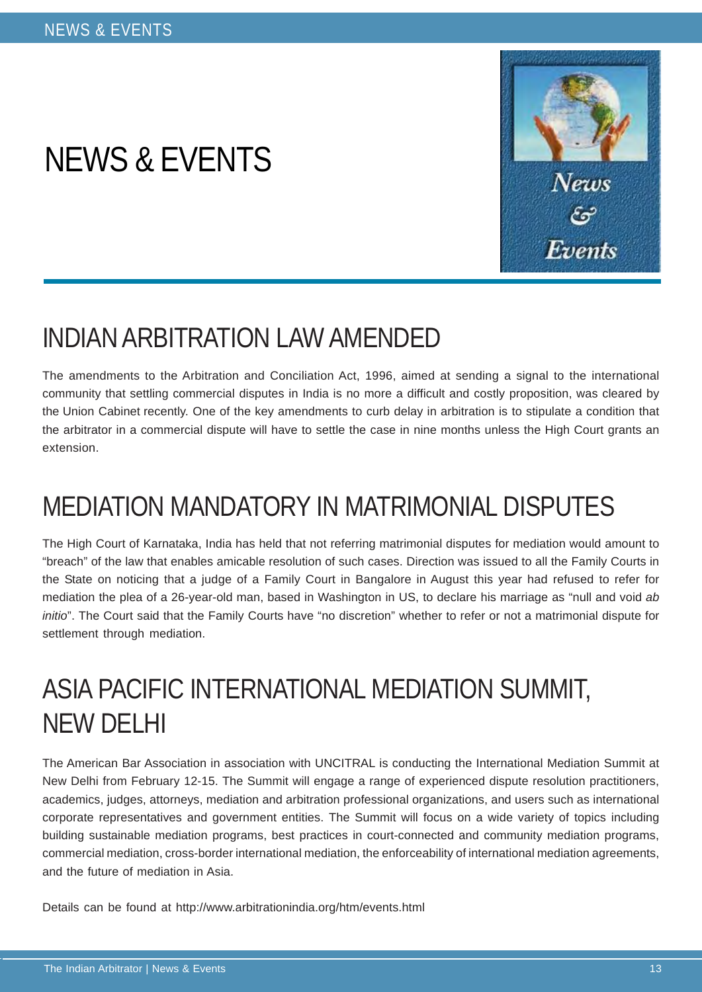# NEWS & EVENTS



### INDIAN ARBITRATION LAW AMENDED

The amendments to the Arbitration and Conciliation Act, 1996, aimed at sending a signal to the international community that settling commercial disputes in India is no more a difficult and costly proposition, was cleared by the Union Cabinet recently. One of the key amendments to curb delay in arbitration is to stipulate a condition that the arbitrator in a commercial dispute will have to settle the case in nine months unless the High Court grants an extension.

### MEDIATION MANDATORY IN MATRIMONIAL DISPUTES

The High Court of Karnataka, India has held that not referring matrimonial disputes for mediation would amount to "breach" of the law that enables amicable resolution of such cases. Direction was issued to all the Family Courts in the State on noticing that a judge of a Family Court in Bangalore in August this year had refused to refer for mediation the plea of a 26-year-old man, based in Washington in US, to declare his marriage as "null and void *ab initio*". The Court said that the Family Courts have "no discretion" whether to refer or not a matrimonial dispute for settlement through mediation.

## ASIA PACIFIC INTERNATIONAL MEDIATION SUMMIT, NEW DELHI

The American Bar Association in association with UNCITRAL is conducting the International Mediation Summit at New Delhi from February 12-15. The Summit will engage a range of experienced dispute resolution practitioners, academics, judges, attorneys, mediation and arbitration professional organizations, and users such as international corporate representatives and government entities. The Summit will focus on a wide variety of topics including building sustainable mediation programs, best practices in court-connected and community mediation programs, commercial mediation, cross-border international mediation, the enforceability of international mediation agreements, and the future of mediation in Asia.

Details can be found at http://www.arbitrationindia.org/htm/events.html